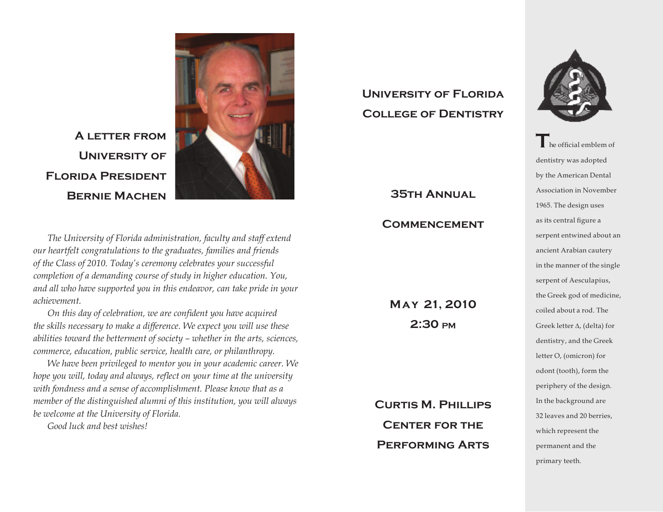# **A letter from University of Florida President Bernie Machen**

*The University of Florida administration, faculty and staff extend our heartfelt congratulations to the graduates, families and friends of the Class of 2010. Today's ceremony celebrates your successful completion of a demanding course of study in higher education. You, and all who have supported you in this endeavor, can take pride in your achievement.*

 *On this day of celebration, we are confident you have acquired the skills necessary to make a difference. We expect you will use these abilities toward the betterment of society – whether in the arts, sciences, commerce, education, public service, health care, or philanthropy.*

*We have been privileged to mentor you in your academic career. We hope you will, today and always, reflect on your time at the university with fondness and a sense of accomplishment. Please know that as a member of the distinguished alumni of this institution, you will always be welcome at the University of Florida.*

*Good luck and best wishes!*

# **University of Florida College of Dentistry**

# **35th Annual**

# **Commencement**

**May 21, 2010 2:30 pm**

**Curtis M. Phillips Center for the Performing Arts**



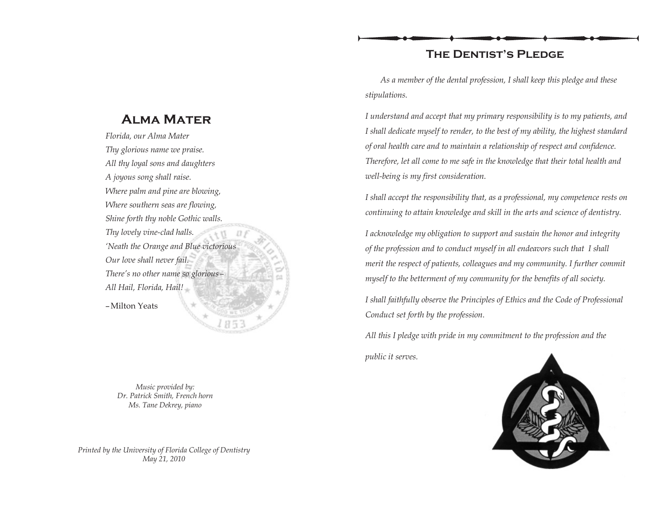# **The Dentist's Pledge**

*As a member of the dental profession, I shall keep this pledge and these stipulations.*

*I understand and accept that my primary responsibility is to my patients, and I shall dedicate myself to render, to the best of my ability, the highest standard of oral health care and to maintain a relationship of respect and confidence. Therefore, let all come to me safe in the knowledge that their total health and well-being is my first consideration.*

*I shall accept the responsibility that, as a professional, my competence rests on continuing to attain knowledge and skill in the arts and science of dentistry.*

*I acknowledge my obligation to support and sustain the honor and integrity of the profession and to conduct myself in all endeavors such that I shall merit the respect of patients, colleagues and my community. I further commit myself to the betterment of my community for the benefits of all society.*

*I shall faithfully observe the Principles of Ethics and the Code of Professional Conduct set forth by the profession.*

*All this I pledge with pride in my commitment to the profession and the public it serves.* 



# **Alma Mater**

*Florida, our Alma Mater Thy glorious name we praise. All thy loyal sons and daughters A joyous song shall raise. Where palm and pine are blowing, Where southern seas are flowing, Shine forth thy noble Gothic walls. Thy lovely vine-clad halls. 'Neath the Orange and Blue victorious Our love shall never fail. There's no other name so glorious – All Hail, Florida, Hail!*

–Milton Yeats

*Music provided by: Dr. Patrick Smith, French horn Ms. Tane Dekrey, piano*

*Printed by the University of Florida College of Dentistry May 21, 2010*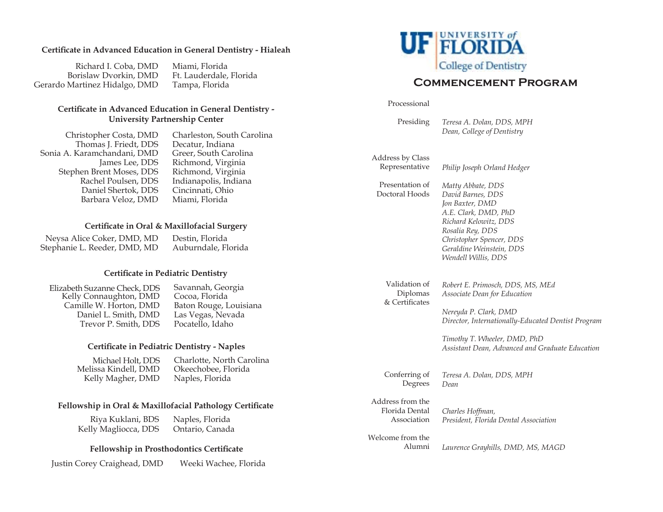#### **Certificate in Advanced Education in General Dentistry - Hialeah**

Borislaw Dvorkin, DMD Gerardo Martinez Hidalgo, DMD Tampa, Florida

Richard I. Coba, DMD Miami, Florida<br>prislaw Dvorkin, DMD Ft. Lauderdale, Florida

#### **Certificate in Advanced Education in General Dentistry - University Partnership Center**

| Christopher Costa, DMD      | Charleston, South Carolina |
|-----------------------------|----------------------------|
| Thomas J. Friedt, DDS       | Decatur, Indiana           |
| Sonia A. Karamchandani, DMD | Greer, South Carolina      |
| James Lee, DDS              | Richmond, Virginia         |
| Stephen Brent Moses, DDS    | Richmond, Virginia         |
| Rachel Poulsen, DDS         | Indianapolis, Indiana      |
| Daniel Shertok, DDS         | Cincinnati, Ohio           |
| Barbara Veloz, DMD          | Miami, Florida             |
|                             |                            |

#### **Certificate in Oral & Maxillofacial Surgery**

| Neysa Alice Coker, DMD, MD   | Destin, Florida     |
|------------------------------|---------------------|
| Stephanie L. Reeder, DMD, MD | Auburndale, Florida |

#### **Certificate in Pediatric Dentistry**

| Savannah, Georgia      |
|------------------------|
| Cocoa, Florida         |
| Baton Rouge, Louisiana |
| Las Vegas, Nevada      |
| Pocatello, Idaho       |
|                        |

#### **Certificate in Pediatric Dentistry - Naples**

| Michael Holt, DDS    | Charlotte, North Carolina |
|----------------------|---------------------------|
| Melissa Kindell, DMD | Okeechobee, Florida       |
| Kelly Magher, DMD    | Naples, Florida           |

#### **Fellowship in Oral & Maxillofacial Pathology Certificate**

| Riya Kuklani, BDS    | Naples, Florida |
|----------------------|-----------------|
| Kelly Magliocca, DDS | Ontario, Canada |

#### **Fellowship in Prosthodontics Certificate**

Justin Corey Craighead, DMD Weeki Wachee, Florida



# **Commencement Program**

#### Processional

Presiding *Teresa A. Dolan, DDS, MPH Dean, College of Dentistry*

Address by Class Representative

Presentation of Doctoral Hoods

*Philip Joseph Orland Hedger Matty Abbate, DDS David Barnes, DDS*

*Jon Baxter, DMD A.E. Clark, DMD, PhD Richard Kelowitz, DDS Rosalia Rey, DDS Christopher Spencer, DDS Geraldine Weinstein, DDS Wendell Willis, DDS*

Validation of Diplomas & Certificates

*Robert E. Primosch, DDS, MS, MEd Associate Dean for Education*

*Nereyda P. Clark, DMD Director, Internationally-Educated Dentist Program*

*Timothy T. Wheeler, DMD, PhD Assistant Dean, Advanced and Graduate Education* 

Conferring of Degrees

*Teresa A. Dolan, DDS, MPH Dean*

Address from the Florida Dental Association

*Charles Hoffman, President, Florida Dental Association*

Welcome from the Alumni

*Laurence Grayhills, DMD, MS, MAGD*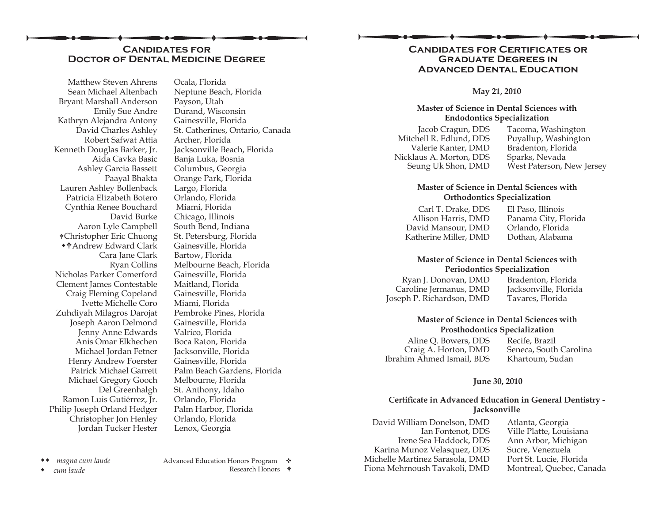## **Candidates for Doctor of Dental Medicine Degree**

Matthew Steven Ahrens Ocala, Florida Sean Michael Altenbach Neptune Beach, Florida Bryant Marshall Anderson Payson, Utah Kathryn Alejandra Antony Gainesville, Florida Robert Safwat Attia Archer, Florida Kenneth Douglas Barker, Jr. Jacksonville Beach, Florida Ashley Garcia Bassett Columbus, Georgia Lauren Ashley Bollenback Patricia Elizabeth Botero Orlando, Florida Cynthia Renee Bouchard Miami, Florida Aaron Lyle Campbell \*Christopher Eric Chuong St. Petersburg, Florida<br>\*\*Andrew Edward Clark Gainesville. Florida  $\leftrightarrow$  Andrew Edward Clark Cara Jane Clark Bartow, Florida Nicholas Parker Comerford Clement James Contestable Maitland, Florida Craig Fleming Copeland Gainesville, Florida Ivette Michelle Coro Miami, Florida Zuhdiyah Milagros Darojat Pembroke Pines, Florida Joseph Aaron Delmond Gainesville, Florida Jenny Anne Edwards Valrico, Florida Anis Omar Elkhechen Boca Raton, Florida Michael Jordan Fetner Jacksonville, Florida Henry Andrew Foerster Michael Gregory Gooch Melbourne, Florida Ramon Luis Gutiérrez, Jr. Orlando, Florida Philip Joseph Orland Hedger Palm Harbor, Florida Christopher Jon Henley Orlando, Florida Jordan Tucker Hester Lenox, Georgia

Emily Sue Andre Durand, Wisconsin St. Catherines, Ontario, Canada Aida Cavka Basic Banja Luka, Bosnia Paayal Bhakta Orange Park, Florida David Burke Chicago, Illinois Ryan Collins Melbourne Beach, Florida Patrick Michael Garrett Palm Beach Gardens, Florida Del Greenhalgh St. Anthony, Idaho

### **Candidates for Certificates or Graduate Degrees in Advanced Dental Education**

#### **May 21, 2010**

#### **Master of Science in Dental Sciences with Endodontics Specialization**

Mitchell R. Edlund, DDS Puyallup, Washington Valerie Kanter, DMD Bradenton, Florida<br>Iaus A. Morton, DDS Sparks, Nevada Nicklaus A. Morton, DDS

Jacob Cragun, DDS Tacoma, Washington Seung Uk Shon, DMD West Paterson, New Jersey

#### **Master of Science in Dental Sciences with Orthodontics Specialization**

| Carl T. Drake, DDS    | El Paso, Illinois    |
|-----------------------|----------------------|
| Allison Harris, DMD   | Panama City, Florida |
| David Mansour, DMD    | Orlando, Florida     |
| Katherine Miller, DMD | Dothan, Alabama      |

#### **Master of Science in Dental Sciences with Periodontics Specialization**

Ryan J. Donovan, DMD Bradenton, Florida Caroline Jermanus, DMD Jacksonville, Florida Joseph P. Richardson, DMD Tavares, Florida

#### **Master of Science in Dental Sciences with Prosthodontics Specialization**

Aline Q. Bowers, DDS Recife, Brazil<br>Craig A. Horton, DMD Seneca, South Carolina Craig A. Horton, DMD Ibrahim Ahmed Ismail, BDS Khartoum, Sudan

#### **June 30, 2010**

#### **Certificate in Advanced Education in General Dentistry - Jacksonville**

David William Donelson, DMD Atlanta, Georgia Irene Sea Haddock, DDS Ann Arbor, Michigan<br>A Munoz Velasquez, DDS Sucre, Venezuela Karina Munoz Velasquez, DDS Sucre, Venezuela<br>
ichelle Martinez Sarasola, DMD Port St. Lucie, Florida Michelle Martinez Sarasola, DMD Fiona Mehrnoush Tavakoli, DMD Montreal, Quebec, Canada

Ian Fontenot, DDS Ville Platte, Louisiana

- *magna cum laude*
- *cum laude*

Advanced Education Honors Program  $\cdot$ 

Research Honors  $\phi$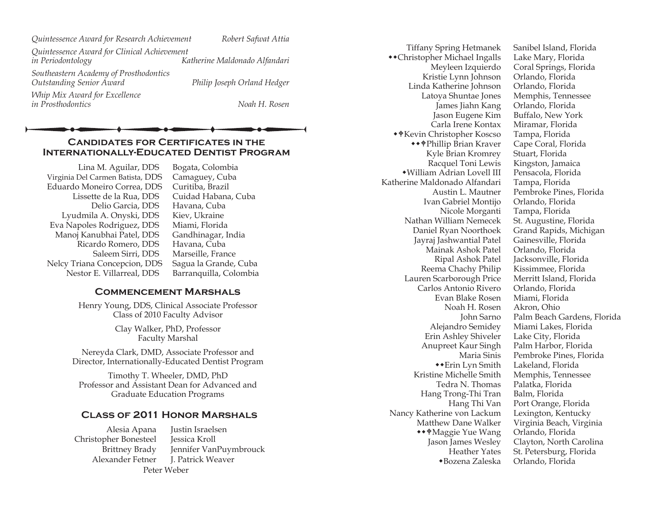| Quintessence Award for Research Achievement                        | Robert Safwat Attia           |
|--------------------------------------------------------------------|-------------------------------|
| Quintessence Award for Clinical Achievement<br>in Periodontology   | Katherine Maldonado Alfandari |
| Southeastern Academy of Prosthodontics<br>Outstanding Senior Award | Philip Joseph Orland Hedger   |
| Whip Mix Award for Excellence<br>in Prosthodontics                 | Noah H. Rosen                 |

## **Candidates for Certificates in the Internationally-Educated Dentist Program**

Lina M. Aguilar, DDS Bogata, Colombia Virginia Del Carmen Batista, DDS Camaguey, Cuba Eduardo Moneiro Correa, DDS Curitiba, Brazil Lissette de la Rua, DDS Cuidad Habana, Cuba Delio Garcia, DDS Havana, Cuba Lyudmila A. Onyski, DDS Kiev, Ukraine Eva Napoles Rodriguez, DDS Miami, Florida Manoj Kanubhai Patel, DDS Gandhinagar, India Ricardo Romero, DDS Havana, Cuba Saleem Sirri, DDS Marseille, France Nelcy Triana Concepcion, DDS Sagua la Grande, Cuba Nestor E. Villarreal, DDS Barranquilla, Colombia

#### **Commencement Marshals**

Henry Young, DDS, Clinical Associate Professor Class of 2010 Faculty Advisor

> Clay Walker, PhD, Professor Faculty Marshal

Nereyda Clark, DMD, Associate Professor and Director, Internationally-Educated Dentist Program

Timothy T. Wheeler, DMD, PhD Professor and Assistant Dean for Advanced and Graduate Education Programs

## **Class of 2011 Honor Marshals**

Christopher Bonesteel Jessica Kroll Alexander Fetner I. Patrick Weaver Peter Weber

Alesia Apana Justin Israelsen Brittney Brady Jennifer VanPuymbrouck

Tiffany Spring Hetmanek Sanibel Island, Florida Christopher Michael Ingalls Lake Mary, Florida Meyleen Izquierdo Coral Springs, Florida Kristie Lynn Johnson Orlando, Florida Linda Katherine Johnson Orlando, Florida Latoya Shuntae Jones James Jiahn Kang Orlando, Florida Jason Eugene Kim Buffalo, New York Carla Irene Kontax Miramar, Florida WKevin Christopher Koscso Tampa, Florida \*\*\*Phillip Brian Kraver Cape Coral, Florida<br>Kyle Brian Kromrey Stuart, Florida Kyle Brian Kromrey Racquel Toni Lewis Kingston, Jamaica William Adrian Lovell III Pensacola, Florida Katherine Maldonado Alfandari Tampa, Florida Ivan Gabriel Montijo Orlando, Florida Nicole Morganti Tampa, Florida Nathan William Nemecek St. Augustine, Florida Daniel Ryan Noorthoek Grand Rapids, Michigan Jayraj Jashwantial Patel Mainak Ashok Patel Orlando, Florida Ripal Ashok Patel Jacksonville, Florida Reema Chachy Philip Lauren Scarborough Price Merritt Island, Florida Carlos Antonio Rivero Orlando, Florida Evan Blake Rosen Miami, Florida Noah H. Rosen Akron, Ohio Alejandro Semidey Miami Lakes, Florida Erin Ashley Shiveler Lake City, Florida Anupreet Kaur Singh Palm Harbor, Florida Erin Lyn Smith Lakeland, Florida Kristine Michelle Smith Memphis, Tennessee<br>Tedra N. Thomas Palatka. Florida Tedra N. Thomas Hang Trong-Thi Tran Balm, Florida Nancy Katherine von Lackum Lexington, Kentucky Matthew Dane Walker Virginia Beach, Virginia **\*\*\*Maggie Yue Wang** Orlando, Florida Bozena Zaleska Orlando, Florida

Austin L. Mautner Pembroke Pines, Florida John Sarno Palm Beach Gardens, Florida Maria Sinis Pembroke Pines, Florida Hang Thi Van Port Orange, Florida Jason James Wesley Clayton, North Carolina Heather Yates St. Petersburg, Florida